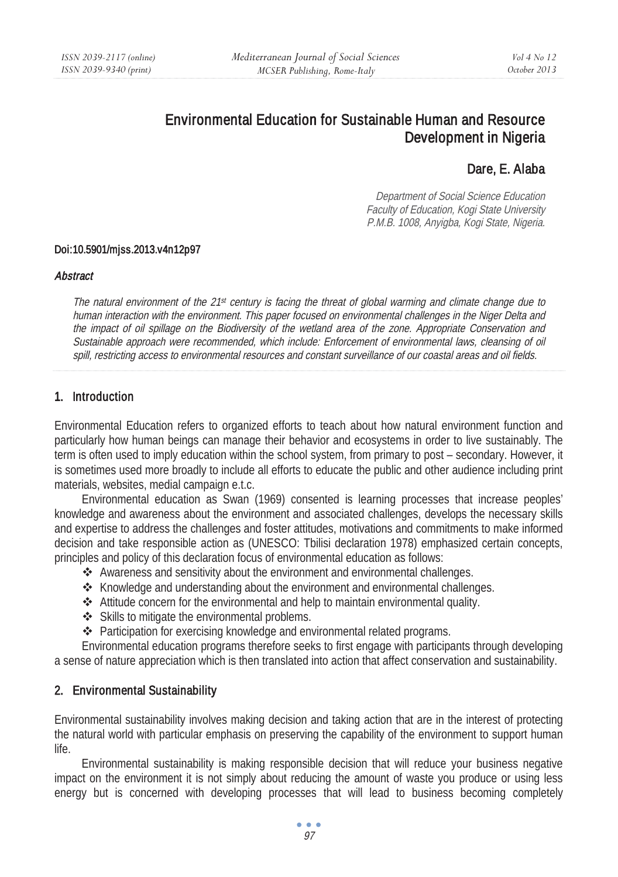# Environmental Education for Sustainable Human and Resource Development in Nigeria

# Dare, E. Alaba

Department of Social Science Education Faculty of Education, Kogi State University P.M.B. 1008, Anyigba, Kogi State, Nigeria.

#### Doi:10.5901/mjss.2013.v4n12p97

#### **Abstract**

The natural environment of the 21st century is facing the threat of global warming and climate change due to human interaction with the environment. This paper focused on environmental challenges in the Niger Delta and the impact of oil spillage on the Biodiversity of the wetland area of the zone. Appropriate Conservation and Sustainable approach were recommended, which include: Enforcement of environmental laws, cleansing of oil spill, restricting access to environmental resources and constant surveillance of our coastal areas and oil fields.

#### 1. Introduction

Environmental Education refers to organized efforts to teach about how natural environment function and particularly how human beings can manage their behavior and ecosystems in order to live sustainably. The term is often used to imply education within the school system, from primary to post – secondary. However, it is sometimes used more broadly to include all efforts to educate the public and other audience including print materials, websites, medial campaign e.t.c.

Environmental education as Swan (1969) consented is learning processes that increase peoples' knowledge and awareness about the environment and associated challenges, develops the necessary skills and expertise to address the challenges and foster attitudes, motivations and commitments to make informed decision and take responsible action as (UNESCO: Tbilisi declaration 1978) emphasized certain concepts, principles and policy of this declaration focus of environmental education as follows:

- Awareness and sensitivity about the environment and environmental challenges.
- $\triangle$  Knowledge and understanding about the environment and environmental challenges.
- Attitude concern for the environmental and help to maintain environmental quality.
- Skills to mitigate the environmental problems.
- Participation for exercising knowledge and environmental related programs.

Environmental education programs therefore seeks to first engage with participants through developing a sense of nature appreciation which is then translated into action that affect conservation and sustainability.

### 2. Environmental Sustainability

Environmental sustainability involves making decision and taking action that are in the interest of protecting the natural world with particular emphasis on preserving the capability of the environment to support human life.

Environmental sustainability is making responsible decision that will reduce your business negative impact on the environment it is not simply about reducing the amount of waste you produce or using less energy but is concerned with developing processes that will lead to business becoming completely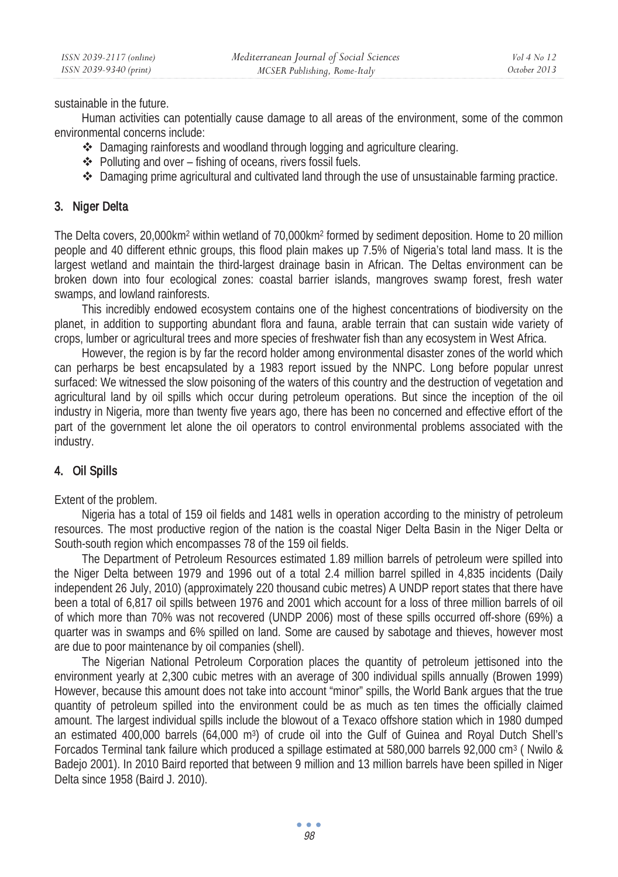sustainable in the future.

Human activities can potentially cause damage to all areas of the environment, some of the common environmental concerns include:

- Damaging rainforests and woodland through logging and agriculture clearing.
- $\triangle$  Polluting and over fishing of oceans, rivers fossil fuels.
- ◆ Damaging prime agricultural and cultivated land through the use of unsustainable farming practice.

### 3. Niger Delta

The Delta covers, 20,000km2 within wetland of 70,000km2 formed by sediment deposition. Home to 20 million people and 40 different ethnic groups, this flood plain makes up 7.5% of Nigeria's total land mass. It is the largest wetland and maintain the third-largest drainage basin in African. The Deltas environment can be broken down into four ecological zones: coastal barrier islands, mangroves swamp forest, fresh water swamps, and lowland rainforests.

This incredibly endowed ecosystem contains one of the highest concentrations of biodiversity on the planet, in addition to supporting abundant flora and fauna, arable terrain that can sustain wide variety of crops, lumber or agricultural trees and more species of freshwater fish than any ecosystem in West Africa.

However, the region is by far the record holder among environmental disaster zones of the world which can perharps be best encapsulated by a 1983 report issued by the NNPC. Long before popular unrest surfaced: We witnessed the slow poisoning of the waters of this country and the destruction of vegetation and agricultural land by oil spills which occur during petroleum operations. But since the inception of the oil industry in Nigeria, more than twenty five years ago, there has been no concerned and effective effort of the part of the government let alone the oil operators to control environmental problems associated with the industry.

# 4. Oil Spills

Extent of the problem.

Nigeria has a total of 159 oil fields and 1481 wells in operation according to the ministry of petroleum resources. The most productive region of the nation is the coastal Niger Delta Basin in the Niger Delta or South-south region which encompasses 78 of the 159 oil fields.

The Department of Petroleum Resources estimated 1.89 million barrels of petroleum were spilled into the Niger Delta between 1979 and 1996 out of a total 2.4 million barrel spilled in 4,835 incidents (Daily independent 26 July, 2010) (approximately 220 thousand cubic metres) A UNDP report states that there have been a total of 6,817 oil spills between 1976 and 2001 which account for a loss of three million barrels of oil of which more than 70% was not recovered (UNDP 2006) most of these spills occurred off-shore (69%) a quarter was in swamps and 6% spilled on land. Some are caused by sabotage and thieves, however most are due to poor maintenance by oil companies (shell).

The Nigerian National Petroleum Corporation places the quantity of petroleum jettisoned into the environment yearly at 2,300 cubic metres with an average of 300 individual spills annually (Browen 1999) However, because this amount does not take into account "minor" spills, the World Bank argues that the true quantity of petroleum spilled into the environment could be as much as ten times the officially claimed amount. The largest individual spills include the blowout of a Texaco offshore station which in 1980 dumped an estimated 400,000 barrels (64,000 m3) of crude oil into the Gulf of Guinea and Royal Dutch Shell's Forcados Terminal tank failure which produced a spillage estimated at 580,000 barrels 92,000 cm3 ( Nwilo & Badejo 2001). In 2010 Baird reported that between 9 million and 13 million barrels have been spilled in Niger Delta since 1958 (Baird J. 2010).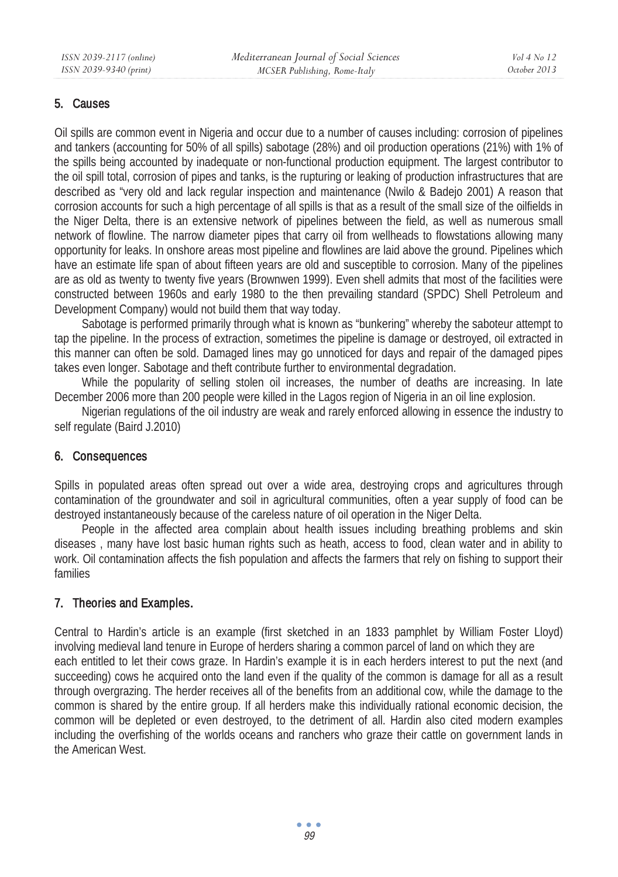### 5. Causes

Oil spills are common event in Nigeria and occur due to a number of causes including: corrosion of pipelines and tankers (accounting for 50% of all spills) sabotage (28%) and oil production operations (21%) with 1% of the spills being accounted by inadequate or non-functional production equipment. The largest contributor to the oil spill total, corrosion of pipes and tanks, is the rupturing or leaking of production infrastructures that are described as "very old and lack regular inspection and maintenance (Nwilo & Badejo 2001) A reason that corrosion accounts for such a high percentage of all spills is that as a result of the small size of the oilfields in the Niger Delta, there is an extensive network of pipelines between the field, as well as numerous small network of flowline. The narrow diameter pipes that carry oil from wellheads to flowstations allowing many opportunity for leaks. In onshore areas most pipeline and flowlines are laid above the ground. Pipelines which have an estimate life span of about fifteen years are old and susceptible to corrosion. Many of the pipelines are as old as twenty to twenty five years (Brownwen 1999). Even shell admits that most of the facilities were constructed between 1960s and early 1980 to the then prevailing standard (SPDC) Shell Petroleum and Development Company) would not build them that way today.

Sabotage is performed primarily through what is known as "bunkering" whereby the saboteur attempt to tap the pipeline. In the process of extraction, sometimes the pipeline is damage or destroyed, oil extracted in this manner can often be sold. Damaged lines may go unnoticed for days and repair of the damaged pipes takes even longer. Sabotage and theft contribute further to environmental degradation.

While the popularity of selling stolen oil increases, the number of deaths are increasing. In late December 2006 more than 200 people were killed in the Lagos region of Nigeria in an oil line explosion.

Nigerian regulations of the oil industry are weak and rarely enforced allowing in essence the industry to self regulate (Baird J.2010)

### 6. Consequences

Spills in populated areas often spread out over a wide area, destroying crops and agricultures through contamination of the groundwater and soil in agricultural communities, often a year supply of food can be destroyed instantaneously because of the careless nature of oil operation in the Niger Delta.

People in the affected area complain about health issues including breathing problems and skin diseases , many have lost basic human rights such as heath, access to food, clean water and in ability to work. Oil contamination affects the fish population and affects the farmers that rely on fishing to support their families

# 7. Theories and Examples.

Central to Hardin's article is an example (first sketched in an 1833 pamphlet by William Foster Lloyd) involving medieval land tenure in Europe of herders sharing a common parcel of land on which they are each entitled to let their cows graze. In Hardin's example it is in each herders interest to put the next (and succeeding) cows he acquired onto the land even if the quality of the common is damage for all as a result through overgrazing. The herder receives all of the benefits from an additional cow, while the damage to the common is shared by the entire group. If all herders make this individually rational economic decision, the common will be depleted or even destroyed, to the detriment of all. Hardin also cited modern examples including the overfishing of the worlds oceans and ranchers who graze their cattle on government lands in the American West.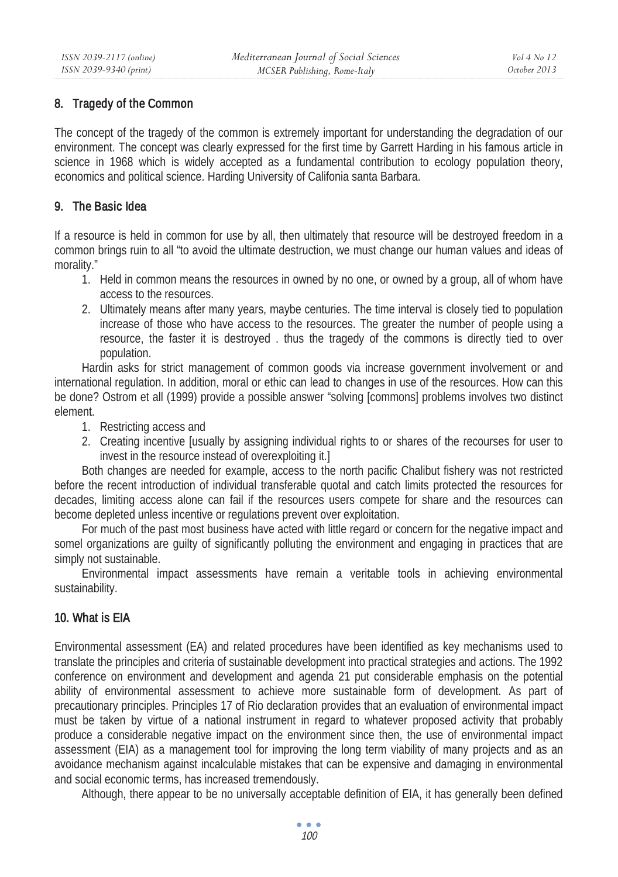## 8. Tragedy of the Common

The concept of the tragedy of the common is extremely important for understanding the degradation of our environment. The concept was clearly expressed for the first time by Garrett Harding in his famous article in science in 1968 which is widely accepted as a fundamental contribution to ecology population theory, economics and political science. Harding University of Califonia santa Barbara.

## 9. The Basic Idea

If a resource is held in common for use by all, then ultimately that resource will be destroyed freedom in a common brings ruin to all "to avoid the ultimate destruction, we must change our human values and ideas of morality."

- 1. Held in common means the resources in owned by no one, or owned by a group, all of whom have access to the resources.
- 2. Ultimately means after many years, maybe centuries. The time interval is closely tied to population increase of those who have access to the resources. The greater the number of people using a resource, the faster it is destroyed . thus the tragedy of the commons is directly tied to over population.

Hardin asks for strict management of common goods via increase government involvement or and international regulation. In addition, moral or ethic can lead to changes in use of the resources. How can this be done? Ostrom et all (1999) provide a possible answer "solving [commons] problems involves two distinct element.

- 1. Restricting access and
- 2. Creating incentive [usually by assigning individual rights to or shares of the recourses for user to invest in the resource instead of overexploiting it.]

Both changes are needed for example, access to the north pacific Chalibut fishery was not restricted before the recent introduction of individual transferable quotal and catch limits protected the resources for decades, limiting access alone can fail if the resources users compete for share and the resources can become depleted unless incentive or regulations prevent over exploitation.

For much of the past most business have acted with little regard or concern for the negative impact and somel organizations are guilty of significantly polluting the environment and engaging in practices that are simply not sustainable.

Environmental impact assessments have remain a veritable tools in achieving environmental sustainability.

# 10. What is EIA

Environmental assessment (EA) and related procedures have been identified as key mechanisms used to translate the principles and criteria of sustainable development into practical strategies and actions. The 1992 conference on environment and development and agenda 21 put considerable emphasis on the potential ability of environmental assessment to achieve more sustainable form of development. As part of precautionary principles. Principles 17 of Rio declaration provides that an evaluation of environmental impact must be taken by virtue of a national instrument in regard to whatever proposed activity that probably produce a considerable negative impact on the environment since then, the use of environmental impact assessment (EIA) as a management tool for improving the long term viability of many projects and as an avoidance mechanism against incalculable mistakes that can be expensive and damaging in environmental and social economic terms, has increased tremendously.

Although, there appear to be no universally acceptable definition of EIA, it has generally been defined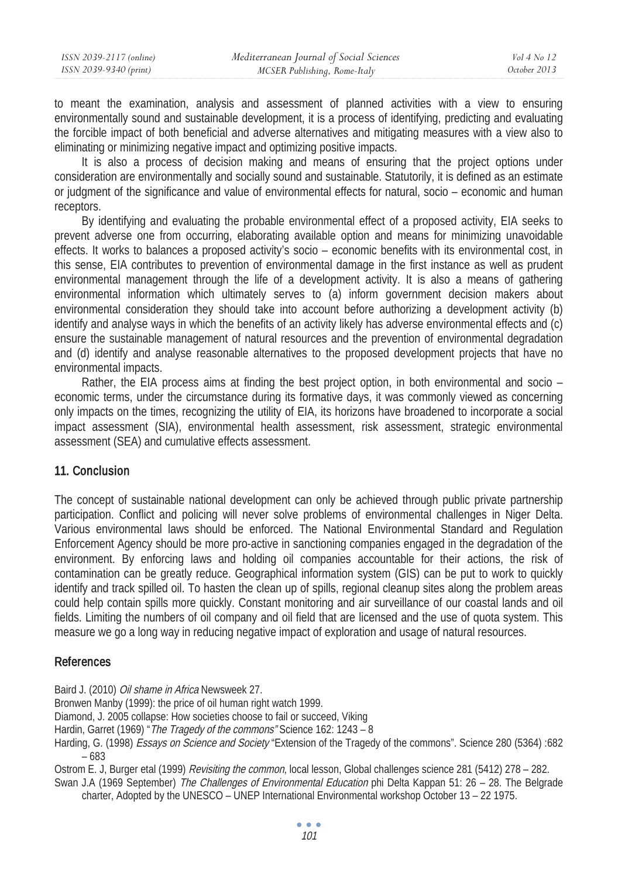| ISSN 2039-2117 (online) | Mediterranean Journal of Social Sciences | $Vol_4$ No. 12 |
|-------------------------|------------------------------------------|----------------|
| ISSN 2039-9340 (print)  | MCSER Publishing, Rome-Italy             | October 2013   |

to meant the examination, analysis and assessment of planned activities with a view to ensuring environmentally sound and sustainable development, it is a process of identifying, predicting and evaluating the forcible impact of both beneficial and adverse alternatives and mitigating measures with a view also to eliminating or minimizing negative impact and optimizing positive impacts.

It is also a process of decision making and means of ensuring that the project options under consideration are environmentally and socially sound and sustainable. Statutorily, it is defined as an estimate or judgment of the significance and value of environmental effects for natural, socio – economic and human receptors.

By identifying and evaluating the probable environmental effect of a proposed activity, EIA seeks to prevent adverse one from occurring, elaborating available option and means for minimizing unavoidable effects. It works to balances a proposed activity's socio – economic benefits with its environmental cost, in this sense, EIA contributes to prevention of environmental damage in the first instance as well as prudent environmental management through the life of a development activity. It is also a means of gathering environmental information which ultimately serves to (a) inform government decision makers about environmental consideration they should take into account before authorizing a development activity (b) identify and analyse ways in which the benefits of an activity likely has adverse environmental effects and (c) ensure the sustainable management of natural resources and the prevention of environmental degradation and (d) identify and analyse reasonable alternatives to the proposed development projects that have no environmental impacts.

Rather, the EIA process aims at finding the best project option, in both environmental and socio – economic terms, under the circumstance during its formative days, it was commonly viewed as concerning only impacts on the times, recognizing the utility of EIA, its horizons have broadened to incorporate a social impact assessment (SIA), environmental health assessment, risk assessment, strategic environmental assessment (SEA) and cumulative effects assessment.

### 11. Conclusion

The concept of sustainable national development can only be achieved through public private partnership participation. Conflict and policing will never solve problems of environmental challenges in Niger Delta. Various environmental laws should be enforced. The National Environmental Standard and Regulation Enforcement Agency should be more pro-active in sanctioning companies engaged in the degradation of the environment. By enforcing laws and holding oil companies accountable for their actions, the risk of contamination can be greatly reduce. Geographical information system (GIS) can be put to work to quickly identify and track spilled oil. To hasten the clean up of spills, regional cleanup sites along the problem areas could help contain spills more quickly. Constant monitoring and air surveillance of our coastal lands and oil fields. Limiting the numbers of oil company and oil field that are licensed and the use of quota system. This measure we go a long way in reducing negative impact of exploration and usage of natural resources.

#### References

Baird J. (2010) Oil shame in Africa Newsweek 27.

Bronwen Manby (1999): the price of oil human right watch 1999.

Diamond, J. 2005 collapse: How societies choose to fail or succeed, Viking

Hardin, Garret (1969) " The Tragedy of the commons" Science 162: 1243 - 8

Harding, G. (1998) Essays on Science and Society "Extension of the Tragedy of the commons". Science 280 (5364) :682 – 683

Ostrom E. J, Burger etal (1999) Revisiting the common, local lesson, Global challenges science 281 (5412) 278 – 282.

Swan J.A (1969 September) The Challenges of Environmental Education phi Delta Kappan 51: 26 - 28. The Belgrade charter, Adopted by the UNESCO – UNEP International Environmental workshop October 13 – 22 1975.